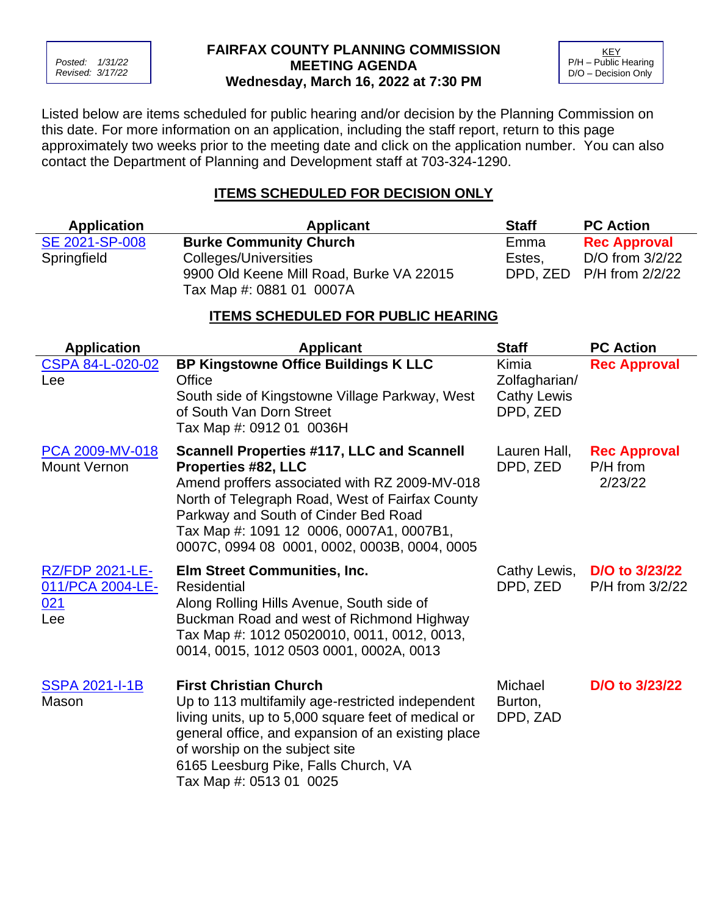*Posted: 1/31/22 Revised: 3/17/22*

#### **FAIRFAX COUNTY PLANNING COMMISSION MEETING AGENDA Wednesday, March 16, 2022 at 7:30 PM**

**KEY** P/H – Public Hearing D/O – Decision Only

Listed below are items scheduled for public hearing and/or decision by the Planning Commission on this date. For more information on an application, including the staff report, return to this page approximately two weeks prior to the meeting date and click on the application number. You can also contact the Department of Planning and Development staff at 703-324-1290.

# **ITEMS SCHEDULED FOR DECISION ONLY**

| <b>Application</b> | <b>Applicant</b>                         | <b>Staff</b> | <b>PC Action</b>         |
|--------------------|------------------------------------------|--------------|--------------------------|
| SE 2021-SP-008     | <b>Burke Community Church</b>            | Emma         | <b>Rec Approval</b>      |
| Springfield        | Colleges/Universities                    | Estes.       | D/O from $3/2/22$        |
|                    | 9900 Old Keene Mill Road, Burke VA 22015 |              | DPD, ZED P/H from 2/2/22 |
|                    | Tax Map #: 0881 01 0007A                 |              |                          |

# **ITEMS SCHEDULED FOR PUBLIC HEARING**

| <b>Application</b>                                       | <b>Applicant</b>                                                                                                                                                                                                                                                                                                        | <b>Staff</b>                                             | <b>PC Action</b>                           |
|----------------------------------------------------------|-------------------------------------------------------------------------------------------------------------------------------------------------------------------------------------------------------------------------------------------------------------------------------------------------------------------------|----------------------------------------------------------|--------------------------------------------|
| CSPA 84-L-020-02<br>Lee                                  | <b>BP Kingstowne Office Buildings K LLC</b><br>Office<br>South side of Kingstowne Village Parkway, West<br>of South Van Dorn Street<br>Tax Map #: 0912 01 0036H                                                                                                                                                         | Kimia<br>Zolfagharian/<br><b>Cathy Lewis</b><br>DPD, ZED | <b>Rec Approval</b>                        |
| <b>PCA 2009-MV-018</b><br><b>Mount Vernon</b>            | <b>Scannell Properties #117, LLC and Scannell</b><br><b>Properties #82, LLC</b><br>Amend proffers associated with RZ 2009-MV-018<br>North of Telegraph Road, West of Fairfax County<br>Parkway and South of Cinder Bed Road<br>Tax Map #: 1091 12 0006, 0007A1, 0007B1,<br>0007C, 0994 08 0001, 0002, 0003B, 0004, 0005 | Lauren Hall,<br>DPD, ZED                                 | <b>Rec Approval</b><br>P/H from<br>2/23/22 |
| <b>RZ/FDP 2021-LE-</b><br>011/PCA 2004-LE-<br>021<br>Lee | Elm Street Communities, Inc.<br>Residential<br>Along Rolling Hills Avenue, South side of<br>Buckman Road and west of Richmond Highway<br>Tax Map #: 1012 05020010, 0011, 0012, 0013,<br>0014, 0015, 1012 0503 0001, 0002A, 0013                                                                                         | Cathy Lewis,<br>DPD, ZED                                 | D/O to 3/23/22<br>P/H from 3/2/22          |
| <b>SSPA 2021-I-1B</b><br>Mason                           | <b>First Christian Church</b><br>Up to 113 multifamily age-restricted independent<br>living units, up to 5,000 square feet of medical or<br>general office, and expansion of an existing place<br>of worship on the subject site<br>6165 Leesburg Pike, Falls Church, VA<br>Tax Map #: 0513 01 0025                     | Michael<br>Burton,<br>DPD, ZAD                           | D/O to 3/23/22                             |